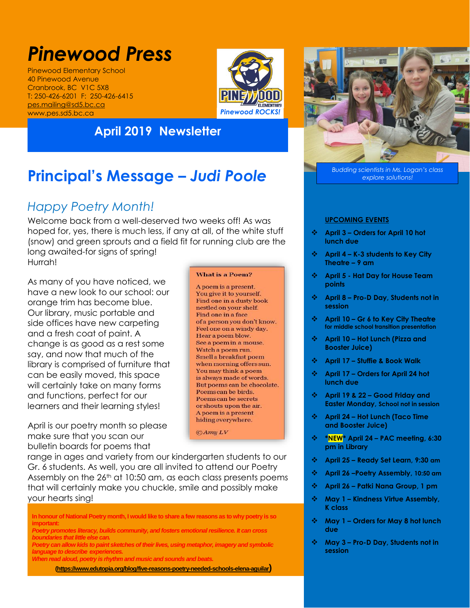# *Pinewood Press*

Pinewood Elementary School 40 Pinewood Avenue Cranbrook, BC V1C 5X8 T: 250-426-6201 F: 250-426-6415 [pes.mailing@sd5.bc.ca](mailto:pes.mailing@sd5.bc.ca) www.pes.sd5.bc.ca



### **April 2019 Newsletter**

## **Principal's Message –** *Judi Poole*

## *Happy Poetry Month!*

Welcome back from a well-deserved two weeks off! As was hoped for, yes, there is much less, if any at all, of the white stuff (snow) and green sprouts and a field fit for running club are the long awaited-for signs of spring! Hurrah!

As many of you have noticed, we have a new look to our school: our orange trim has become blue. Our library, music portable and side offices have new carpeting and a fresh coat of paint. A change is as good as a rest some say, and now that much of the library is comprised of furniture that can be easily moved, this space will certainly take on many forms and functions, perfect for our learners and their learning styles!

April is our poetry month so please make sure that you scan our bulletin boards for poems that

#### **What is a Poem?**

A poem is a present. You give it to yourself. Find one in a dusty book nestled on your shelf. Find one in a face of a person you don't know. Feel one on a windy day. Hear a poem blow. See a poem in a mouse. Watch a poem run. Smell a breakfast poem when morning offers sun. You may think a poem is always made of words. But poems can be chocolate. Poems can be birds. Poems can be secrets or shouts upon the air. A poem is a present hiding everywhere.

 $\bigcirc$  Amy LV

range in ages and variety from our kindergarten students to our Gr. 6 students. As well, you are all invited to attend our Poetry Assembly on the 26<sup>th</sup> at 10:50 am, as each class presents poems that will certainly make you chuckle, smile and possibly make your hearts sing!

**In honour of National Poetry month, I would like to share a few reasons as to why poetry is so important:**

*Poetry promotes literacy, builds community, and fosters emotional resilience. It can cross boundaries that little else can.* 

*Poetry can allow kids to paint sketches of their lives, using metaphor, imagery and symbolic language to describe experiences.*

*When read aloud, poetry is rhythm and music and sounds and beats.*

**[\(https://www.edutopia.org/blog/five-reasons-poetry-needed-schools-elena-aguilar](https://www.edutopia.org/blog/five-reasons-poetry-needed-schools-elena-aguilar))**



*Budding scientists in Ms. Logan's class explore solutions!*

#### **UPCOMING EVENTS**

- **April 3 – Orders for April 10 hot lunch due**
- **April 4 – K-3 students to Key City Theatre – 9 am**
- **April 5 - Hat Day for House Team points**
- **April 8 – Pro-D Day, Students not in session**
- **April 10 – Gr 6 to Key City Theatre for middle school transition presentation**
- **April 10 – Hot Lunch (Pizza and Booster Juice)**
- **April 17 – Stuffie & Book Walk**
- **April 17 – Orders for April 24 hot lunch due**
- **April 19 & 22 – Good Friday and Easter Monday, School not in session**
- **April 24 – Hot Lunch (Taco Time and Booster Juice)**
- **\*NEW\* April 24 – PAC meeting, 6:30 pm in Library**
- **April 25 – Ready Set Learn, 9:30 am**
- **April 26 –Poetry Assembly, 10:50 am**
- **April 26 – Patki Nana Group, 1 pm**
- **May 1 – Kindness Virtue Assembly, K class**
- **May 1 – Orders for May 8 hot lunch due**
- **May 3 – Pro-D Day, Students not in session**